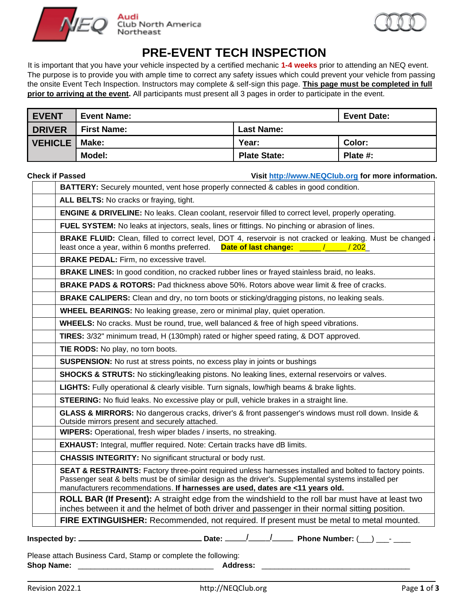



# **PRE-EVENT TECH INSPECTION**

It is important that you have your vehicle inspected by a certified mechanic **1-4 weeks** prior to attending an NEQ event. The purpose is to provide you with ample time to correct any safety issues which could prevent your vehicle from passing the onsite Event Tech Inspection. Instructors may complete & self-sign this page. **This page must be completed in full prior to arriving at the event.** All participants must present all 3 pages in order to participate in the event.

| <b>EVENT</b>           | <b>Event Name:</b> |                     | <b>Event Date:</b> |
|------------------------|--------------------|---------------------|--------------------|
| <b>DRIVER</b>          | <b>First Name:</b> | <b>Last Name:</b>   |                    |
| <b>VEHICLE   Make:</b> |                    | Year:               | Color:             |
|                        | <b>Model:</b>      | <b>Plate State:</b> | Plate $#$ :        |

**Check if Passed Visit [http://www.NEQCIub.org](http://www.neqciub.org/) for more information.**

|                                         | BATTERY: Securely mounted, vent hose properly connected & cables in good condition.                                                                                                                                                                                                                           |
|-----------------------------------------|---------------------------------------------------------------------------------------------------------------------------------------------------------------------------------------------------------------------------------------------------------------------------------------------------------------|
| ALL BELTS: No cracks or fraying, tight. |                                                                                                                                                                                                                                                                                                               |
|                                         | <b>ENGINE &amp; DRIVELINE:</b> No leaks. Clean coolant, reservoir filled to correct level, properly operating.                                                                                                                                                                                                |
|                                         | FUEL SYSTEM: No leaks at injectors, seals, lines or fittings. No pinching or abrasion of lines.                                                                                                                                                                                                               |
|                                         | <b>BRAKE FLUID:</b> Clean, filled to correct level, DOT 4, reservoir is not cracked or leaking. Must be changed<br>least once a year, within 6 months preferred.<br>Date of last change: ____<br>$\frac{1}{202}$                                                                                              |
|                                         | <b>BRAKE PEDAL:</b> Firm, no excessive travel.                                                                                                                                                                                                                                                                |
|                                         | <b>BRAKE LINES:</b> In good condition, no cracked rubber lines or frayed stainless braid, no leaks.                                                                                                                                                                                                           |
|                                         | <b>BRAKE PADS &amp; ROTORS:</b> Pad thickness above 50%. Rotors above wear limit & free of cracks.                                                                                                                                                                                                            |
|                                         | BRAKE CALIPERS: Clean and dry, no torn boots or sticking/dragging pistons, no leaking seals.                                                                                                                                                                                                                  |
|                                         | <b>WHEEL BEARINGS:</b> No leaking grease, zero or minimal play, quiet operation.                                                                                                                                                                                                                              |
|                                         | <b>WHEELS:</b> No cracks. Must be round, true, well balanced & free of high speed vibrations.                                                                                                                                                                                                                 |
|                                         | TIRES: 3/32" minimum tread, H (130mph) rated or higher speed rating, & DOT approved.                                                                                                                                                                                                                          |
| TIE RODS: No play, no torn boots.       |                                                                                                                                                                                                                                                                                                               |
|                                         | <b>SUSPENSION:</b> No rust at stress points, no excess play in joints or bushings                                                                                                                                                                                                                             |
|                                         | <b>SHOCKS &amp; STRUTS:</b> No sticking/leaking pistons. No leaking lines, external reservoirs or valves.                                                                                                                                                                                                     |
|                                         | LIGHTS: Fully operational & clearly visible. Turn signals, low/high beams & brake lights.                                                                                                                                                                                                                     |
|                                         | <b>STEERING:</b> No fluid leaks. No excessive play or pull, vehicle brakes in a straight line.                                                                                                                                                                                                                |
|                                         | GLASS & MIRRORS: No dangerous cracks, driver's & front passenger's windows must roll down. Inside &<br>Outside mirrors present and securely attached.                                                                                                                                                         |
|                                         | WIPERS: Operational, fresh wiper blades / inserts, no streaking.                                                                                                                                                                                                                                              |
|                                         | <b>EXHAUST:</b> Integral, muffler required. Note: Certain tracks have dB limits.                                                                                                                                                                                                                              |
|                                         | <b>CHASSIS INTEGRITY:</b> No significant structural or body rust.                                                                                                                                                                                                                                             |
|                                         | <b>SEAT &amp; RESTRAINTS:</b> Factory three-point required unless harnesses installed and bolted to factory points.<br>Passenger seat & belts must be of similar design as the driver's. Supplemental systems installed per<br>manufacturers recommendations. If harnesses are used, dates are <11 years old. |
|                                         | ROLL BAR (If Present): A straight edge from the windshield to the roll bar must have at least two<br>inches between it and the helmet of both driver and passenger in their normal sitting position.                                                                                                          |
|                                         | FIRE EXTINGUISHER: Recommended, not required. If present must be metal to metal mounted.                                                                                                                                                                                                                      |
|                                         |                                                                                                                                                                                                                                                                                                               |

Shop Name: **and a structure of the structure of the Shop Name:**  $\overline{a}$  and  $\overline{b}$  and  $\overline{c}$  and  $\overline{d}$  and  $\overline{d}$  and  $\overline{b}$  and  $\overline{b}$  and  $\overline{c}$  and  $\overline{d}$  and  $\overline{d}$  and  $\overline{d}$  and  $\overline{d}$  and  $\$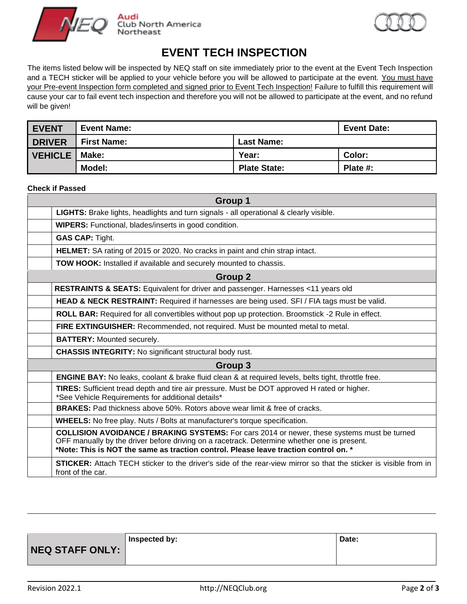



## **EVENT TECH INSPECTION**

The items listed below will be inspected by NEQ staff on site immediately prior to the event at the Event Tech Inspection and a TECH sticker will be applied to your vehicle before you will be allowed to participate at the event. You must have your Pre-event Inspection form completed and signed prior to Event Tech Inspection! Failure to fulfill this requirement will cause your car to fail event tech inspection and therefore you will not be allowed to participate at the event, and no refund will be given!

| <b>EVENT</b>           | <b>Event Name:</b> |                     | <b>Event Date:</b> |
|------------------------|--------------------|---------------------|--------------------|
| <b>DRIVER</b>          | <b>First Name:</b> | <b>Last Name:</b>   |                    |
| <b>VEHICLE   Make:</b> |                    | Year:               | <b>Color:</b>      |
|                        | Model:             | <b>Plate State:</b> | Plate $#$ :        |

#### **Check if Passed**

| Group 1                                                                                                                                                                                                                                                                                   |  |  |
|-------------------------------------------------------------------------------------------------------------------------------------------------------------------------------------------------------------------------------------------------------------------------------------------|--|--|
| LIGHTS: Brake lights, headlights and turn signals - all operational & clearly visible.                                                                                                                                                                                                    |  |  |
| <b>WIPERS:</b> Functional, blades/inserts in good condition.                                                                                                                                                                                                                              |  |  |
| <b>GAS CAP: Tight.</b>                                                                                                                                                                                                                                                                    |  |  |
| <b>HELMET:</b> SA rating of 2015 or 2020. No cracks in paint and chin strap intact.                                                                                                                                                                                                       |  |  |
| TOW HOOK: Installed if available and securely mounted to chassis.                                                                                                                                                                                                                         |  |  |
| Group 2                                                                                                                                                                                                                                                                                   |  |  |
| RESTRAINTS & SEATS: Equivalent for driver and passenger. Harnesses <11 years old                                                                                                                                                                                                          |  |  |
| <b>HEAD &amp; NECK RESTRAINT:</b> Required if harnesses are being used. SFI / FIA tags must be valid.                                                                                                                                                                                     |  |  |
| <b>ROLL BAR:</b> Required for all convertibles without pop up protection. Broomstick -2 Rule in effect.                                                                                                                                                                                   |  |  |
| FIRE EXTINGUISHER: Recommended, not required. Must be mounted metal to metal.                                                                                                                                                                                                             |  |  |
| <b>BATTERY:</b> Mounted securely.                                                                                                                                                                                                                                                         |  |  |
| <b>CHASSIS INTEGRITY:</b> No significant structural body rust.                                                                                                                                                                                                                            |  |  |
| Group 3                                                                                                                                                                                                                                                                                   |  |  |
| <b>ENGINE BAY:</b> No leaks, coolant & brake fluid clean & at required levels, belts tight, throttle free.                                                                                                                                                                                |  |  |
| TIRES: Sufficient tread depth and tire air pressure. Must be DOT approved H rated or higher.<br>*See Vehicle Requirements for additional details*                                                                                                                                         |  |  |
| <b>BRAKES:</b> Pad thickness above 50%. Rotors above wear limit & free of cracks.                                                                                                                                                                                                         |  |  |
| <b>WHEELS:</b> No free play. Nuts / Bolts at manufacturer's torque specification.                                                                                                                                                                                                         |  |  |
| <b>COLLISION AVOIDANCE / BRAKING SYSTEMS:</b> For cars 2014 or newer, these systems must be turned<br>OFF manually by the driver before driving on a racetrack. Determine whether one is present.<br>*Note: This is NOT the same as traction control. Please leave traction control on. * |  |  |
| <b>STICKER:</b> Attach TECH sticker to the driver's side of the rear-view mirror so that the sticker is visible from in<br>front of the car.                                                                                                                                              |  |  |

**NEQ STAFF ONLY: Inspected by: Date:**